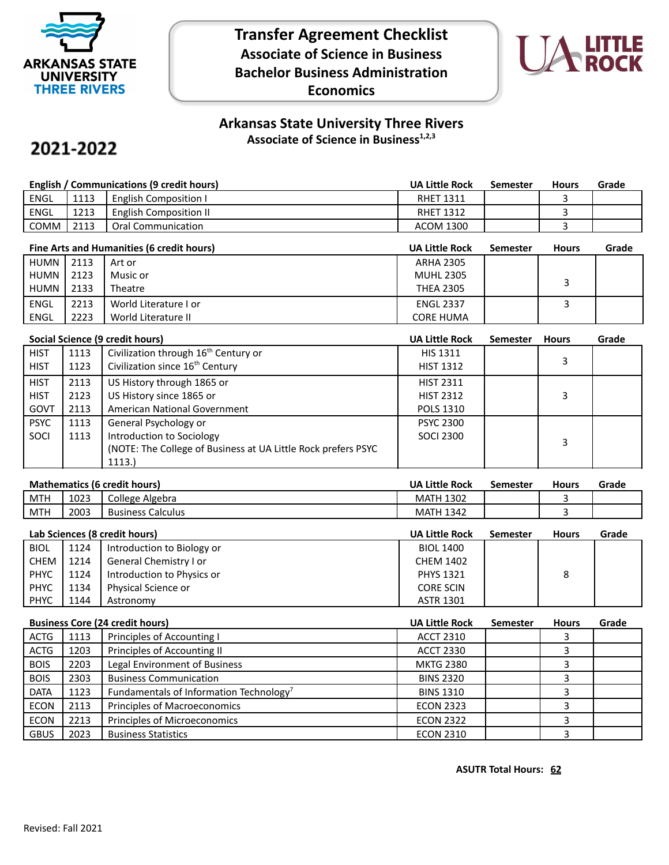

**Transfer Agreement Checklist Associate of Science in Business Bachelor Business Administration Economics**



# **Arkansas State University Three Rivers Associate of Science in Business1,2,3**

# 2021-2022

| English / Communications (9 credit hours) |      |                              | <b>UA Little Rock</b> | Semester | <b>Hours</b> | Grade |
|-------------------------------------------|------|------------------------------|-----------------------|----------|--------------|-------|
| <b>ENGL</b>                               | 1113 | <b>English Composition I</b> | <b>RHET 1311</b>      |          |              |       |
| ENGL                                      | 1213 | English Composition II       | <b>RHET 1312</b>      |          |              |       |
| COMM                                      | 2113 | Oral Communication           | <b>ACOM 1300</b>      |          |              |       |

| Fine Arts and Humanities (6 credit hours) |      |                       | <b>UA Little Rock</b> | <b>Semester</b> | <b>Hours</b> | Grade |
|-------------------------------------------|------|-----------------------|-----------------------|-----------------|--------------|-------|
| HUMN I                                    | 2113 | Art or                | <b>ARHA 2305</b>      |                 |              |       |
| HUMN                                      | 2123 | Music or              | <b>MUHL 2305</b>      |                 |              |       |
| HUMN I                                    | 2133 | Theatre               | <b>THEA 2305</b>      |                 |              |       |
| <b>ENGL</b>                               | 2213 | World Literature I or | <b>ENGL 2337</b>      |                 |              |       |
| ENGL                                      | 2223 | World Literature II   | <b>CORE HUMA</b>      |                 |              |       |

| Social Science (9 credit hours) |      |                                                                | <b>UA Little Rock</b> | <b>Semester</b> | <b>Hours</b> | Grade |
|---------------------------------|------|----------------------------------------------------------------|-----------------------|-----------------|--------------|-------|
| <b>HIST</b>                     | 1113 | Civilization through 16 <sup>th</sup> Century or               | <b>HIS 1311</b>       |                 |              |       |
| <b>HIST</b>                     | 1123 | Civilization since 16 <sup>th</sup> Century                    | <b>HIST 1312</b>      |                 | 3            |       |
| <b>HIST</b>                     | 2113 | US History through 1865 or                                     | <b>HIST 2311</b>      |                 |              |       |
| <b>HIST</b>                     | 2123 | US History since 1865 or                                       | <b>HIST 2312</b>      |                 | 3            |       |
| GOVT                            | 2113 | American National Government                                   | <b>POLS 1310</b>      |                 |              |       |
| <b>PSYC</b>                     | 1113 | General Psychology or                                          | <b>PSYC 2300</b>      |                 |              |       |
| SOCI                            | 1113 | Introduction to Sociology                                      | <b>SOCI 2300</b>      |                 | 3            |       |
|                                 |      | (NOTE: The College of Business at UA Little Rock prefers PSYC) |                       |                 |              |       |
|                                 |      | 1113.)                                                         |                       |                 |              |       |

### **Mathematics (6 credit hours) UA Little Rock Semester Hours Grade**

|            |      |                                  | ---------------     | ------------ | ------- | ------ |
|------------|------|----------------------------------|---------------------|--------------|---------|--------|
| MTH        | 1023 | College Algebra                  | 1302<br><b>MATH</b> |              |         |        |
| <b>MTH</b> | 2003 | -<br>Calculus<br><b>Business</b> | 1342<br>MATH        |              |         |        |
|            |      |                                  |                     |              |         |        |

| Lab Sciences (8 credit hours) |      |                            | <b>UA Little Rock</b> | <b>Semester</b> | <b>Hours</b> | Grade |
|-------------------------------|------|----------------------------|-----------------------|-----------------|--------------|-------|
| <b>BIOL</b>                   | 1124 | Introduction to Biology or | <b>BIOL 1400</b>      |                 |              |       |
| CHEM                          | 1214 | General Chemistry I or     | <b>CHEM 1402</b>      |                 |              |       |
| <b>PHYC</b>                   | 1124 | Introduction to Physics or | <b>PHYS 1321</b>      |                 | 8            |       |
| <b>PHYC</b>                   | 1134 | Physical Science or        | <b>CORE SCIN</b>      |                 |              |       |
| <b>PHYC</b>                   | 1144 | Astronomy                  | <b>ASTR 1301</b>      |                 |              |       |

| <b>Business Core (24 credit hours)</b> |      | <b>UA Little Rock</b>                               | <b>Semester</b>  | <b>Hours</b> | Grade |  |
|----------------------------------------|------|-----------------------------------------------------|------------------|--------------|-------|--|
| <b>ACTG</b>                            | 1113 | Principles of Accounting I                          | <b>ACCT 2310</b> |              |       |  |
| <b>ACTG</b>                            | 1203 | Principles of Accounting II                         | <b>ACCT 2330</b> |              |       |  |
| <b>BOIS</b>                            | 2203 | Legal Environment of Business                       | <b>MKTG 2380</b> |              |       |  |
| <b>BOIS</b>                            | 2303 | <b>Business Communication</b>                       | <b>BINS 2320</b> |              |       |  |
| <b>DATA</b>                            | 1123 | Fundamentals of Information Technology <sup>7</sup> | <b>BINS 1310</b> |              |       |  |
| <b>ECON</b>                            | 2113 | Principles of Macroeconomics                        | <b>ECON 2323</b> |              |       |  |
| <b>ECON</b>                            | 2213 | Principles of Microeconomics                        | <b>ECON 2322</b> |              |       |  |
| <b>GBUS</b>                            | 2023 | <b>Business Statistics</b>                          | <b>ECON 2310</b> |              |       |  |